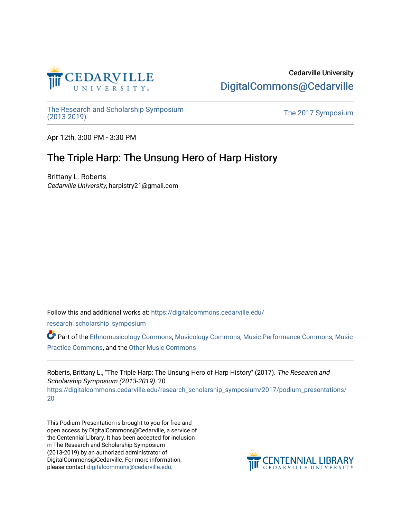

## Cedarville University [DigitalCommons@Cedarville](https://digitalcommons.cedarville.edu/)

The Research and Scholarship Symposium<br>(2013-2019)

The 2017 Symposium

Apr 12th, 3:00 PM - 3:30 PM

## The Triple Harp: The Unsung Hero of Harp History

Brittany L. Roberts Cedarville University, harpistry21@gmail.com

Follow this and additional works at: [https://digitalcommons.cedarville.edu/](https://digitalcommons.cedarville.edu/research_scholarship_symposium?utm_source=digitalcommons.cedarville.edu%2Fresearch_scholarship_symposium%2F2017%2Fpodium_presentations%2F20&utm_medium=PDF&utm_campaign=PDFCoverPages)

[research\\_scholarship\\_symposium](https://digitalcommons.cedarville.edu/research_scholarship_symposium?utm_source=digitalcommons.cedarville.edu%2Fresearch_scholarship_symposium%2F2017%2Fpodium_presentations%2F20&utm_medium=PDF&utm_campaign=PDFCoverPages) 

Part of the [Ethnomusicology Commons,](http://network.bepress.com/hgg/discipline/520?utm_source=digitalcommons.cedarville.edu%2Fresearch_scholarship_symposium%2F2017%2Fpodium_presentations%2F20&utm_medium=PDF&utm_campaign=PDFCoverPages) [Musicology Commons](http://network.bepress.com/hgg/discipline/521?utm_source=digitalcommons.cedarville.edu%2Fresearch_scholarship_symposium%2F2017%2Fpodium_presentations%2F20&utm_medium=PDF&utm_campaign=PDFCoverPages), [Music Performance Commons](http://network.bepress.com/hgg/discipline/1128?utm_source=digitalcommons.cedarville.edu%2Fresearch_scholarship_symposium%2F2017%2Fpodium_presentations%2F20&utm_medium=PDF&utm_campaign=PDFCoverPages), [Music](http://network.bepress.com/hgg/discipline/523?utm_source=digitalcommons.cedarville.edu%2Fresearch_scholarship_symposium%2F2017%2Fpodium_presentations%2F20&utm_medium=PDF&utm_campaign=PDFCoverPages)  [Practice Commons,](http://network.bepress.com/hgg/discipline/523?utm_source=digitalcommons.cedarville.edu%2Fresearch_scholarship_symposium%2F2017%2Fpodium_presentations%2F20&utm_medium=PDF&utm_campaign=PDFCoverPages) and the [Other Music Commons](http://network.bepress.com/hgg/discipline/524?utm_source=digitalcommons.cedarville.edu%2Fresearch_scholarship_symposium%2F2017%2Fpodium_presentations%2F20&utm_medium=PDF&utm_campaign=PDFCoverPages) 

Roberts, Brittany L., "The Triple Harp: The Unsung Hero of Harp History" (2017). The Research and Scholarship Symposium (2013-2019). 20. [https://digitalcommons.cedarville.edu/research\\_scholarship\\_symposium/2017/podium\\_presentations/](https://digitalcommons.cedarville.edu/research_scholarship_symposium/2017/podium_presentations/20?utm_source=digitalcommons.cedarville.edu%2Fresearch_scholarship_symposium%2F2017%2Fpodium_presentations%2F20&utm_medium=PDF&utm_campaign=PDFCoverPages) [20](https://digitalcommons.cedarville.edu/research_scholarship_symposium/2017/podium_presentations/20?utm_source=digitalcommons.cedarville.edu%2Fresearch_scholarship_symposium%2F2017%2Fpodium_presentations%2F20&utm_medium=PDF&utm_campaign=PDFCoverPages)

This Podium Presentation is brought to you for free and open access by DigitalCommons@Cedarville, a service of the Centennial Library. It has been accepted for inclusion in The Research and Scholarship Symposium (2013-2019) by an authorized administrator of DigitalCommons@Cedarville. For more information, please contact [digitalcommons@cedarville.edu](mailto:digitalcommons@cedarville.edu).